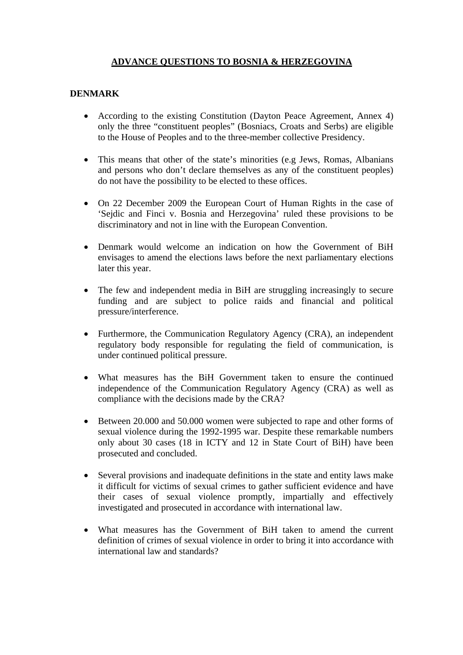## **ADVANCE QUESTIONS TO BOSNIA & HERZEGOVINA**

## **DENMARK**

- According to the existing Constitution (Dayton Peace Agreement, Annex 4) only the three "constituent peoples" (Bosniacs, Croats and Serbs) are eligible to the House of Peoples and to the three-member collective Presidency.
- This means that other of the state's minorities (e.g Jews, Romas, Albanians and persons who don't declare themselves as any of the constituent peoples) do not have the possibility to be elected to these offices.
- On 22 December 2009 the European Court of Human Rights in the case of 'Sejdic and Finci v. Bosnia and Herzegovina' ruled these provisions to be discriminatory and not in line with the European Convention.
- Denmark would welcome an indication on how the Government of BiH envisages to amend the elections laws before the next parliamentary elections later this year.
- The few and independent media in BiH are struggling increasingly to secure funding and are subject to police raids and financial and political pressure/interference.
- Furthermore, the Communication Regulatory Agency (CRA), an independent regulatory body responsible for regulating the field of communication, is under continued political pressure.
- What measures has the BiH Government taken to ensure the continued independence of the Communication Regulatory Agency (CRA) as well as compliance with the decisions made by the CRA?
- Between 20.000 and 50.000 women were subjected to rape and other forms of sexual violence during the 1992-1995 war. Despite these remarkable numbers only about 30 cases (18 in ICTY and 12 in State Court of BiH) have been prosecuted and concluded.
- Several provisions and inadequate definitions in the state and entity laws make it difficult for victims of sexual crimes to gather sufficient evidence and have their cases of sexual violence promptly, impartially and effectively investigated and prosecuted in accordance with international law.
- What measures has the Government of BiH taken to amend the current definition of crimes of sexual violence in order to bring it into accordance with international law and standards?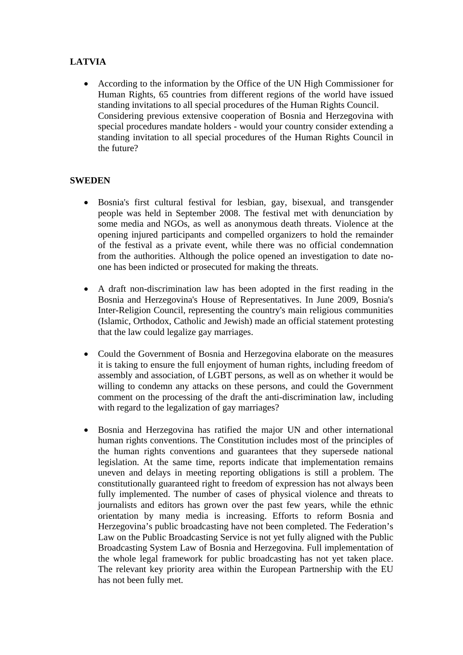## **LATVIA**

• According to the information by the Office of the UN High Commissioner for Human Rights, 65 countries from different regions of the world have issued standing invitations to all special procedures of the Human Rights Council. Considering previous extensive cooperation of Bosnia and Herzegovina with special procedures mandate holders - would your country consider extending a standing invitation to all special procedures of the Human Rights Council in the future?

## **SWEDEN**

- Bosnia's first cultural festival for lesbian, gay, bisexual, and transgender people was held in September 2008. The festival met with denunciation by some media and NGOs, as well as anonymous death threats. Violence at the opening injured participants and compelled organizers to hold the remainder of the festival as a private event, while there was no official condemnation from the authorities. Although the police opened an investigation to date noone has been indicted or prosecuted for making the threats.
- A draft non-discrimination law has been adopted in the first reading in the Bosnia and Herzegovina's House of Representatives. In June 2009, Bosnia's Inter-Religion Council, representing the country's main religious communities (Islamic, Orthodox, Catholic and Jewish) made an official statement protesting that the law could legalize gay marriages.
- Could the Government of Bosnia and Herzegovina elaborate on the measures it is taking to ensure the full enjoyment of human rights, including freedom of assembly and association, of LGBT persons, as well as on whether it would be willing to condemn any attacks on these persons, and could the Government comment on the processing of the draft the anti-discrimination law, including with regard to the legalization of gay marriages?
- Bosnia and Herzegovina has ratified the major UN and other international human rights conventions. The Constitution includes most of the principles of the human rights conventions and guarantees that they supersede national legislation. At the same time, reports indicate that implementation remains uneven and delays in meeting reporting obligations is still a problem. The constitutionally guaranteed right to freedom of expression has not always been fully implemented. The number of cases of physical violence and threats to journalists and editors has grown over the past few years, while the ethnic orientation by many media is increasing. Efforts to reform Bosnia and Herzegovina's public broadcasting have not been completed. The Federation's Law on the Public Broadcasting Service is not yet fully aligned with the Public Broadcasting System Law of Bosnia and Herzegovina. Full implementation of the whole legal framework for public broadcasting has not yet taken place. The relevant key priority area within the European Partnership with the EU has not been fully met.